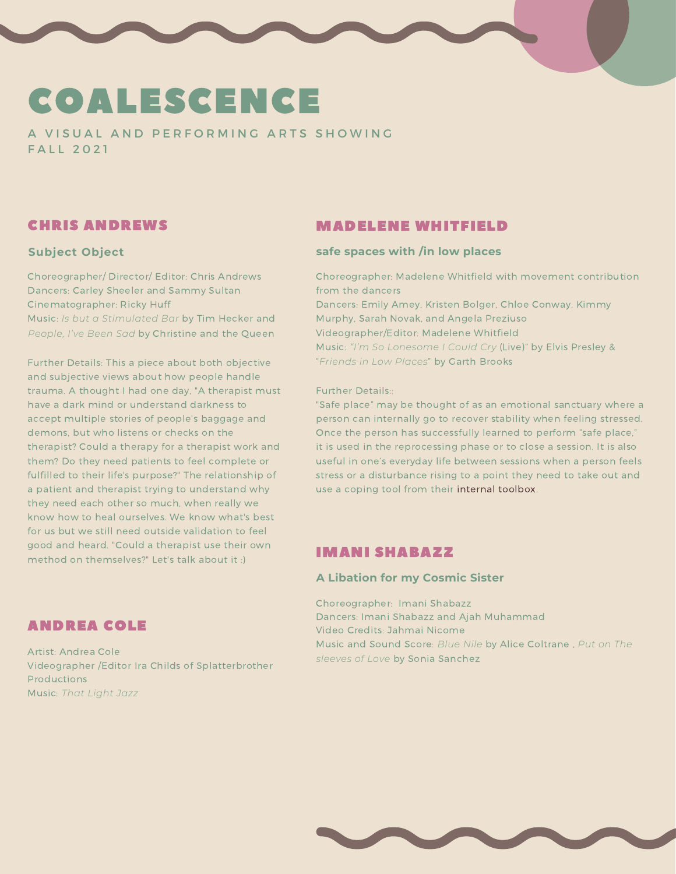# COALESCENCE

A VISUAL AND PERFORMING ARTS SHOWING F A I L 2 0 2 1

# CHRIS ANDREWS

#### **Subject Object**

Choreographer/ Director/ Editor: Chris Andrews Dancers: Carley Sheeler and Sammy Sultan Cinematographer: Ricky Huff Music: *Is but a Stimulated Bar* by Tim Hecker and *People, I've Been Sad* by Christine and the Queen

Further Details: This a piece about both objective and subjective views about how people handle trauma. A thought I had one day, "A therapist must have a dark mind or understand darkness to accept multiple stories of people's baggage and demons, but who listens or checks on the therapist? Could a therapy for a therapist work and them? Do they need patients to feel complete or fulfilled to their life's purpose?" The relationship of a patient and therapist trying to understand why they need each other so much, when really we know how to heal ourselves. We know what's best for us but we still need outside validation to feel good and heard. "Could a therapist use their own method on themselves?" Let's talk about it :)

# ANDREA COLE

Artist: Andrea Cole Videographer /Editor Ira Childs of Splatterbrother Productions Music: *That Light Jazz*

# MADELENE WHITFIELD

### **safe spaces with /in low places**

Choreographer: Madelene Whitfield with movement contribution from the dancers

Dancers: Emily Amey, Kristen Bolger, Chloe Conway, Kimmy Murphy, Sarah Novak, and Angela Preziuso Videographer/Editor: Madelene Whitfield Music: *"I'm So Lonesome I Could Cry* (Live)" by Elvis Presley & "*Friends in Low Places*" by Garth Brooks

#### Further Details::

"Safe place" may be thought of as an emotional sanctuary where a person can internally go to recover stability when feeling stressed. Once the person has successfully learned to perform "safe place," it is used in the reprocessing phase or to close a session. It is also useful in one's everyday life between sessions when a person feels stress or a disturbance rising to a point they need to take out and use a coping tool from their internal [toolbox.](https://www.goodtherapy.org/blog/using-emdr-to-find-your-safe-place-in-trauma-recovery-0815164)

### IMANI [SHABAZZ](https://www.goodtherapy.org/blog/using-emdr-to-find-your-safe-place-in-trauma-recovery-0815164)

#### **A Libation for my Cosmic Sister**

Choreographer: Imani Shabazz Dancers: Imani Shabazz and Ajah Muhammad Video Credits: Jahmai Nicome Music and Sound Score: *Blue Nile* by Alice Coltrane , *Put on The sleeves of Love* by Sonia Sanchez

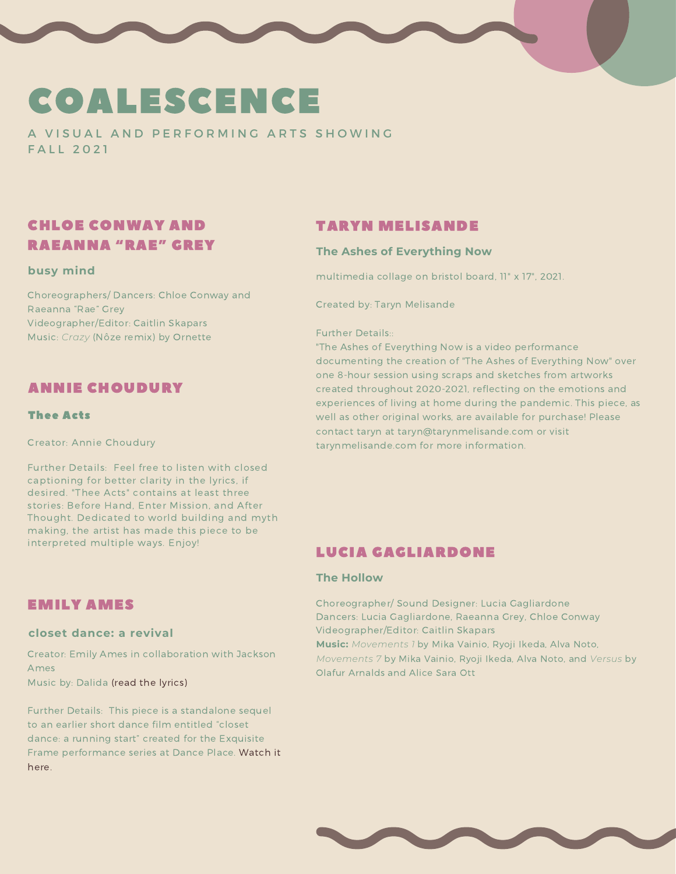# COALESCENCE

A VISUAL AND PERFORMING ARTS SHOWING F A I L 2 0 2 1

# CHLOE CONWAY AND RAEANNA "RAE" GREY

#### **busy mind**

Choreographers/ Dancers: Chloe Conway and Raeanna "Rae" Grey Videographer/Editor: Caitlin Skapars Music: *Crazy* (Nôze remix) by Ornette

## ANNIE CHOUDURY

#### Thee Acts

Creator: Annie Choudury

Further Details: Feel free to listen with closed captioning for better clarity in the lyrics, if desired. "Thee Acts" contains at least three stories: Before Hand, Enter Mission, and After Thought. Dedicated to world building and myth making, the artist has made this piece to be interpreted multiple ways. Enjoy!

## EMILY AMES

#### **closet dance: a revival**

Creator: Emily Ames in collaboration with Jackson Ames Music by: Dalida (read the [lyrics\)](https://www.letras.com/dalida/vai-tu-sei-libero/)

Further Details: This piece is a standalone sequel to an earlier short dance film entitled "closet dance: a running start" created for the Exquisite Frame [performance](https://vimeo.com/640183625) series at Dance Place. Watch it here.

### TARYN MELISANDE

#### **The Ashes of Everything Now**

multimedia collage on bristol board, 11" x 17", 2021.

Created by: Taryn Melisande

#### Further Details::

"The Ashes of Everything Now is a video performance documenting the creation of "The Ashes of Everything Now" over one 8-hour session using scraps and sketches from artworks created throughout 2020-2021, reflecting on the emotions and experiences of living at home during the pandemic. This piece, as well as other original works, are available for purchase! Please contact taryn at taryn@tarynmelisande.com or visit [tarynmelisande.com](http://tarynmelisande.com/) for more information.

## LUCIA GAGLIARDONE

#### **The Hollow**

Choreographer/ Sound Designer: Lucia Gagliardone Dancers: Lucia Gagliardone, Raeanna Grey, Chloe Conway Videographer/Editor: Caitlin Skapars **Music:** *Movements 1* by Mika Vainio, Ryoji Ikeda, Alva Noto, *Movements 7* by Mika Vainio, Ryoji Ikeda, Alva Noto, and *Versus* by Olafur Arnalds and Alice Sara Ott